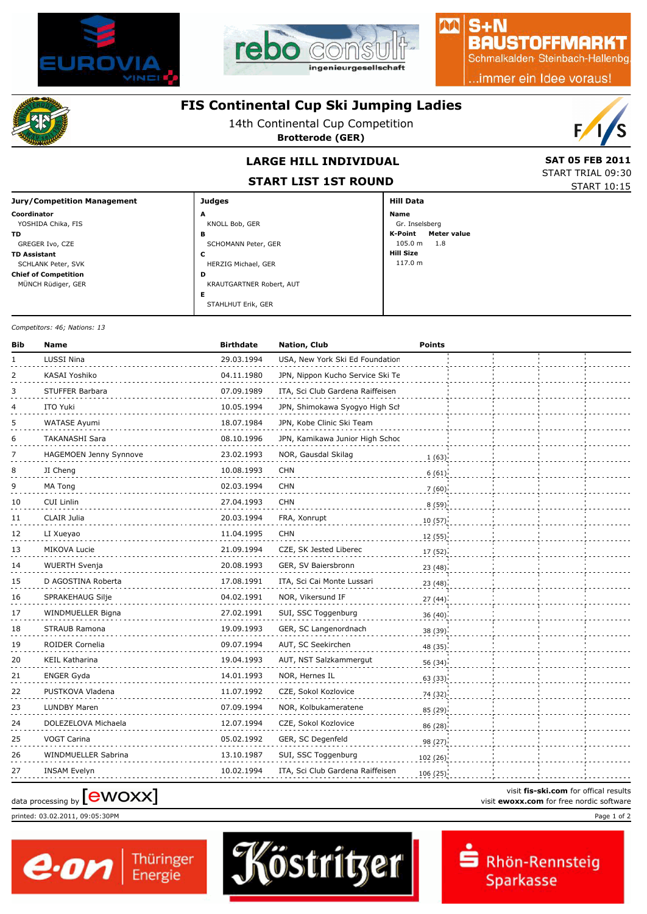



### $S + N$ **BAUSTOFFMARKT**

AA

Schmalkalden Steinbach-Hallenbg

..immer ein Idee voraus!



### **FIS Continental Cup Ski Jumping Ladies**

14th Continental Cup Competition

**Brotterode (GER)**



## **LARGE HILL INDIVIDUAL**

**START LIST 1ST ROUND**

| <b>SAT 05 FEB 2011</b> |
|------------------------|
| START TRIAL 09:30      |
| START 10:15            |

| <b>Jury/Competition Management</b> | <b>Judges</b>            | <b>Hill Data</b>              |  |  |
|------------------------------------|--------------------------|-------------------------------|--|--|
| Coordinator                        | A                        | Name                          |  |  |
| YOSHIDA Chika, FIS                 | KNOLL Bob, GER           | Gr. Inselsberg                |  |  |
| TD.                                | в                        | K-Point<br><b>Meter value</b> |  |  |
| GREGER Ivo, CZE                    | SCHOMANN Peter, GER      | $105.0 \text{ m}$<br>1.8      |  |  |
| <b>TD Assistant</b>                | c                        | <b>Hill Size</b>              |  |  |
| SCHLANK Peter, SVK                 | HERZIG Michael, GER      | 117.0 m                       |  |  |
| <b>Chief of Competition</b>        | D                        |                               |  |  |
| MÜNCH Rüdiger, GER                 | KRAUTGARTNER Robert, AUT |                               |  |  |
|                                    | Е                        |                               |  |  |
|                                    | STAHLHUT Erik, GER       |                               |  |  |

*Competitors: 46; Nations: 13*

| Bib | <b>Name</b>            | <b>Birthdate</b> | Nation, Club                     | <b>Points</b> |  |
|-----|------------------------|------------------|----------------------------------|---------------|--|
| 1   | LUSSI Nina             | 29.03.1994       | USA, New York Ski Ed Foundation  |               |  |
| 2   | KASAI Yoshiko          | 04.11.1980       | JPN, Nippon Kucho Service Ski Te |               |  |
| 3   | STUFFER Barbara        | 07.09.1989       | ITA, Sci Club Gardena Raiffeisen |               |  |
| 4   | ITO Yuki               | 10.05.1994       | JPN, Shimokawa Syogyo High Sch   |               |  |
| 5   | WATASE Ayumi           | 18.07.1984       | JPN, Kobe Clinic Ski Team        |               |  |
| 6   | <b>TAKANASHI Sara</b>  | 08.10.1996       | JPN, Kamikawa Junior High Schoc  |               |  |
| 7   | HAGEMOEN Jenny Synnove | 23.02.1993       | NOR, Gausdal Skilag              | 1(63)         |  |
| 8   | JI Cheng               | 10.08.1993       | <b>CHN</b>                       | 6(61)         |  |
| 9   | MA Tong                | 02.03.1994       | <b>CHN</b>                       | 7(60)         |  |
| 10  | <b>CUI Linlin</b>      | 27.04.1993       | <b>CHN</b>                       | 8(59)         |  |
| 11  | CLAIR Julia            | 20.03.1994       | FRA, Xonrupt                     | 10(57)        |  |
| 12  | LI Xueyao              | 11.04.1995       | <b>CHN</b>                       | 12 (55)       |  |
| 13  | MIKOVA Lucie           | 21.09.1994       | CZE, SK Jested Liberec           | 17 (52)       |  |
| 14  | <b>WUERTH Svenja</b>   | 20.08.1993       | GER, SV Baiersbronn              | 23(48)        |  |
| 15  | D AGOSTINA Roberta     | 17.08.1991       | ITA, Sci Cai Monte Lussari       | 23 (48)       |  |
| 16  | SPRAKEHAUG Silje       | 04.02.1991       | NOR, Vikersund IF                | 27(44)        |  |
| 17  | WINDMUELLER Bigna      | 27.02.1991       | SUI, SSC Toggenburg              | 36 (40)       |  |
| 18  | STRAUB Ramona          | 19.09.1993       | GER, SC Langenordnach            | 38 (39)       |  |
| 19  | ROIDER Cornelia        | 09.07.1994       | AUT, SC Seekirchen               | 48 (35)       |  |
| 20  | <b>KEIL Katharina</b>  | 19.04.1993       | AUT, NST Salzkammergut           | 56 (34)       |  |
| 21  | ENGER Gyda             | 14.01.1993       | NOR, Hernes IL                   | 63 (33)       |  |
| 22  | PUSTKOVA Vladena       | 11.07.1992       | CZE, Sokol Kozlovice             | 74 (32)       |  |
| 23  | LUNDBY Maren           | 07.09.1994       | NOR, Kolbukameratene             | 85 (29)       |  |
| 24  | DOLEZELOVA Michaela    | 12.07.1994       | CZE, Sokol Kozlovice             | 86(28)        |  |
| 25  | <b>VOGT Carina</b>     | 05.02.1992       | GER, SC Degenfeld                | 98 (27)       |  |
| 26  | WINDMUELLER Sabrina    | 13.10.1987       | SUI, SSC Toggenburg              | 102 (26)      |  |
| 27  | <b>INSAM Evelyn</b>    | 10.02.1994       | ITA, Sci Club Gardena Raiffeisen | 106(25)       |  |

# visit fis-ski.com for offical results<br>
visit **ewoxx.com** for free nordic software<br>
visit **ewoxx.com** for free nordic software

printed: 03.02.2011, 09:05:30PM Page 1 of 2





visit **fis-ski.com** for offical results